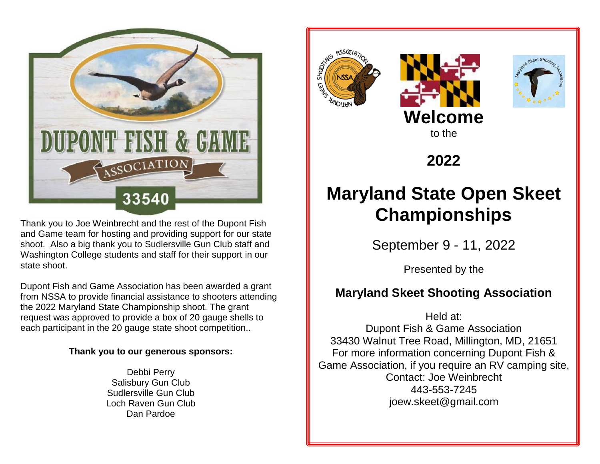

Thank you to Joe Weinbrecht and the rest of the Dupont Fish and Game team for hosting and providing support for our state shoot. Also a big thank you to Sudlersville Gun Club staff and Washington College students and staff for their support in our state shoot.

Dupont Fish and Game Association has been awarded a grant from NSSA to provide financial assistance to shooters attending the 2022 Maryland State Championship shoot. The grant request was approved to provide a box of 20 gauge shells to each participant in the 20 gauge state shoot competition..

### **Thank you to our generous sponsors:**

Debbi Perry Salisbury Gun Club Sudlersville Gun Club Loch Raven Gun Club Dan Pardoe







**2022**

# **Maryland State Open Skeet Championships**

September 9 - 11, 2022

Presented by the

# **Maryland Skeet Shooting Association**

Held at: Dupont Fish & Game Association 33430 Walnut Tree Road, Millington, MD, 21651 For more information concerning Dupont Fish & Game Association, if you require an RV camping site, Contact: Joe Weinbrecht 443-553-7245 joew.skeet@gmail.com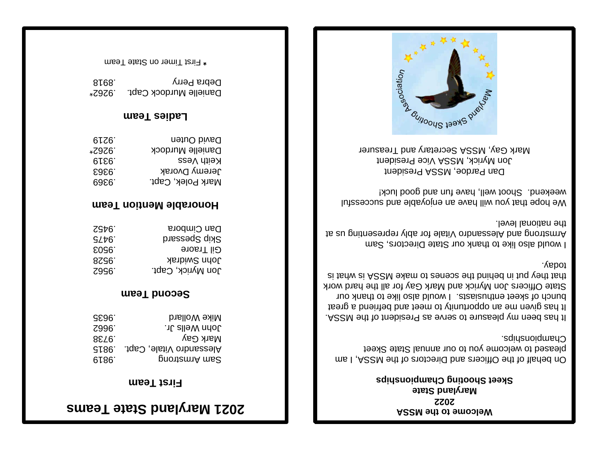# **<sup>s</sup> Maryland State Team 12 20**

### **First Team**

| <b>GE96</b>       | Mike Wollard             |
|-------------------|--------------------------|
| Z996 <sup>-</sup> | hoph Wells. יו.          |
| 8E79.             | Mark Gay                 |
| GL86.             | Alessandro Vitale, Capt. |
| 6186.             | gnontemnA ms2            |

### **Second Team**

| 7976 <sup>-</sup> | Dan Cimbora       |
|-------------------|-------------------|
| SZP6.             | Skip Spessard     |
| E0961             | <b>Gil Traore</b> |
| 8ZS6 <sup>.</sup> | John Swidrak      |
| Z996 <sup>-</sup> | Jon Myrick, Capt. |

### **Team Honorable Mention**

| David Outen       | .61Z6  |
|-------------------|--------|
| Danielle Murdock  | .7976. |
| Reith Vess        | 61.EG. |
| Jeremy Dvorak     | E9E6.  |
| Mark Polek, Capt. | 69261  |

### **Ladies Team**

| 8168.  | Depra Perry            |
|--------|------------------------|
| *S∂S0. | Danielle Murdock Capt. |

First Timer on State Team **\***

### **Welcome to the MSSA 22 20 Maryland State Skeet Shooting Championships**

On behalf of the Officers and Directors of the MSSA, I am pleased to welcome you to our annual State Skeet Championships.

. ASSM edt to trabizer as evres of surseald ym need asn't It has given me an opportunity to meet and befriend a great I would also like to thank our and the to thank our State Officers Jon Myrick and Mark Gay for all the hard work the what in behind the scenes to make MSSM is the what is today.

I would also like to thank our State Directors, Sam Armstrong and Alessandro Vitale for ably representing us at . Ievel lenoiten ent

We hope that you will have an enjoyable and successful weekend. Shoot well, have fun and good luck!

Dan Pardoe, MSSA President Jon Myrick, MSSN Vice President Mark Gay, MSSA Secretary and Treasurer

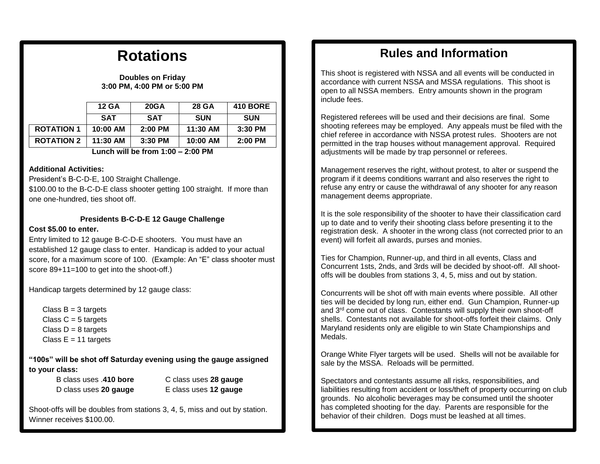# **Rotations**

#### **Doubles on Friday 3:00 PM, 4:00 PM or 5:00 PM**

|                   | <b>12 GA</b> | <b>20GA</b> | <b>28 GA</b> | <b>410 BORE</b> |
|-------------------|--------------|-------------|--------------|-----------------|
|                   | <b>SAT</b>   | <b>SAT</b>  | <b>SUN</b>   | <b>SUN</b>      |
| <b>ROTATION 1</b> | 10:00 AM     | $2:00$ PM   | 11:30 AM     | 3:30 PM         |
| <b>ROTATION 2</b> | $11:30$ AM   | $3:30$ PM   | 10:00 AM     | 2:00 PM         |

#### **Lunch will be from 1:00 – 2:00 PM**

#### **Additional Activities:**

President's B-C-D-E, 100 Straight Challenge.

\$100.00 to the B-C-D-E class shooter getting 100 straight. If more than one one-hundred, ties shoot off.

# **Presidents B-C-D-E 12 Gauge Challenge**

#### **Cost \$5.00 to enter.**

Entry limited to 12 gauge B-C-D-E shooters. You must have an established 12 gauge class to enter. Handicap is added to your actual score, for a maximum score of 100. (Example: An "E" class shooter must score 89+11=100 to get into the shoot-off.)

Handicap targets determined by 12 gauge class:

Class  $B = 3$  targets Class  $C = 5$  targets Class  $D = 8$  targets Class  $E = 11$  targets

**"100s" will be shot off Saturday evening using the gauge assigned to your class:**

B class uses .**410 bore** C class uses **28 gauge** D class uses **20 gauge** E class uses **12 gauge**

Winner receives \$100.00. Shoot-offs will be doubles from stations 3, 4, 5, miss and out by station.

# **Rules and Information**

This shoot is registered with NSSA and all events will be conducted in accordance with current NSSA and MSSA regulations. This shoot is open to all NSSA members. Entry amounts shown in the program include fees.

Registered referees will be used and their decisions are final. Some shooting referees may be employed. Any appeals must be filed with the chief referee in accordance with NSSA protest rules. Shooters are not permitted in the trap houses without management approval. Required adjustments will be made by trap personnel or referees.

Management reserves the right, without protest, to alter or suspend the program if it deems conditions warrant and also reserves the right to refuse any entry or cause the withdrawal of any shooter for any reason management deems appropriate.

It is the sole responsibility of the shooter to have their classification card up to date and to verify their shooting class before presenting it to the registration desk. A shooter in the wrong class (not corrected prior to an event) will forfeit all awards, purses and monies.

Ties for Champion, Runner-up, and third in all events, Class and Concurrent 1sts, 2nds, and 3rds will be decided by shoot-off. All shootoffs will be doubles from stations 3, 4, 5, miss and out by station.

Concurrents will be shot off with main events where possible. All other ties will be decided by long run, either end. Gun Champion, Runner-up and 3<sup>rd</sup> come out of class. Contestants will supply their own shoot-off shells. Contestants not available for shoot-offs forfeit their claims. Only Maryland residents only are eligible to win State Championships and Medals.

Orange White Flyer targets will be used. Shells will not be available for sale by the MSSA. Reloads will be permitted.

Spectators and contestants assume all risks, responsibilities, and liabilities resulting from accident or loss/theft of property occurring on club grounds. No alcoholic beverages may be consumed until the shooter has completed shooting for the day. Parents are responsible for the behavior of their children. Dogs must be leashed at all times.